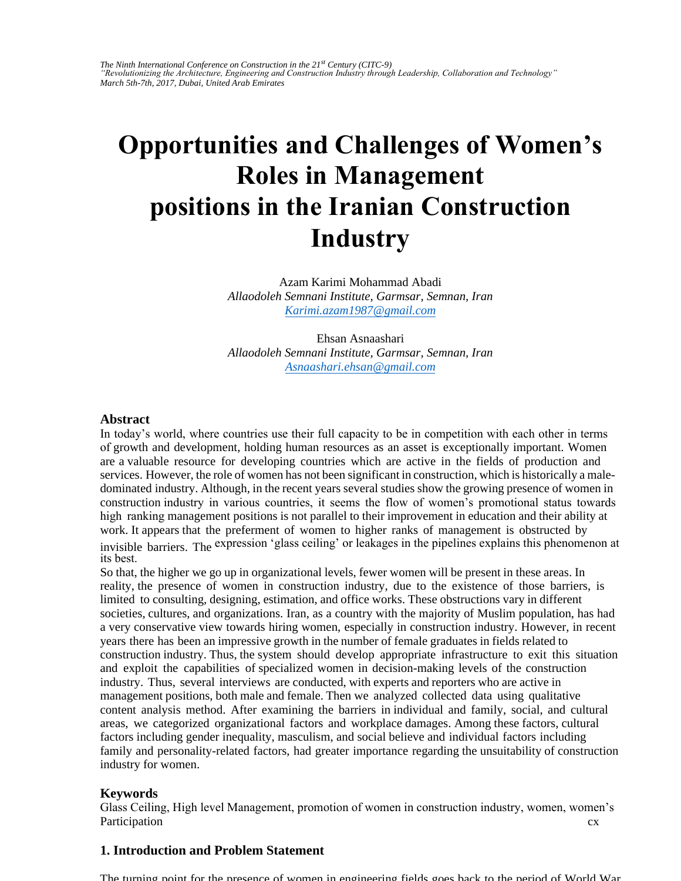# **Opportunities and Challenges of Women's Roles in Management positions in the Iranian Construction [Industry](mailto:Karimi.azam1987@gmail.com)**

[Azam Karimi Mohammad Abad](mailto:Asnaashari.ehsan@gmail.com)i *Allaodoleh Semnani Institute, Garmsar, Semnan, Iran Karimi.azam1987@gmail.com*

Ehsan Asnaashari *Allaodoleh Semnani Institute, Garmsar, Semnan, Iran Asnaashari.ehsan@gmail.com*

#### **Abstract**

In today's world, where countries use their full capacity to be in competition with each other in terms of growth and development, holding human resources as an asset is exceptionally important. Women are a valuable resource for developing countries which are active in the fields of production and services. However, the role of women has not been significant in construction, which is historically a maledominated industry. Although, in the recent years several studies show the growing presence of women in construction industry in various countries, it seems the flow of women's promotional status towards high ranking management positions is not parallel to their improvement in education and their ability at work. It appears that the preferment of women to higher ranks of management is obstructed by invisible barriers. The expression 'glass ceiling' or leakages in the pipelines explains this phenomenon at its best.

So that, the higher we go up in organizational levels, fewer women will be present in these areas. In reality, the presence of women in construction industry, due to the existence of those barriers, is limited to consulting, designing, estimation, and office works. These obstructions vary in different societies, cultures, and organizations. Iran, as a country with the majority of Muslim population, has had a very conservative view towards hiring women, especially in construction industry. However, in recent years there has been an impressive growth in the number of female graduates in fields related to construction industry. Thus, the system should develop appropriate infrastructure to exit this situation and exploit the capabilities of specialized women in decision-making levels of the construction industry. Thus, several interviews are conducted, with experts and reporters who are active in management positions, both male and female. Then we analyzed collected data using qualitative content analysis method. After examining the barriers in individual and family, social, and cultural areas, we categorized organizational factors and workplace damages. Among these factors, cultural factors including gender inequality, masculism, and social believe and individual factors including family and personality-related factors, had greater importance regarding the unsuitability of construction industry for women.

#### **Keywords**

cx Glass Ceiling, High level Management, promotion of women in construction industry, women, women's Participation

## **1. Introduction and Problem Statement**

The turning point for the presence of women in engineering fields goes back to the period of World War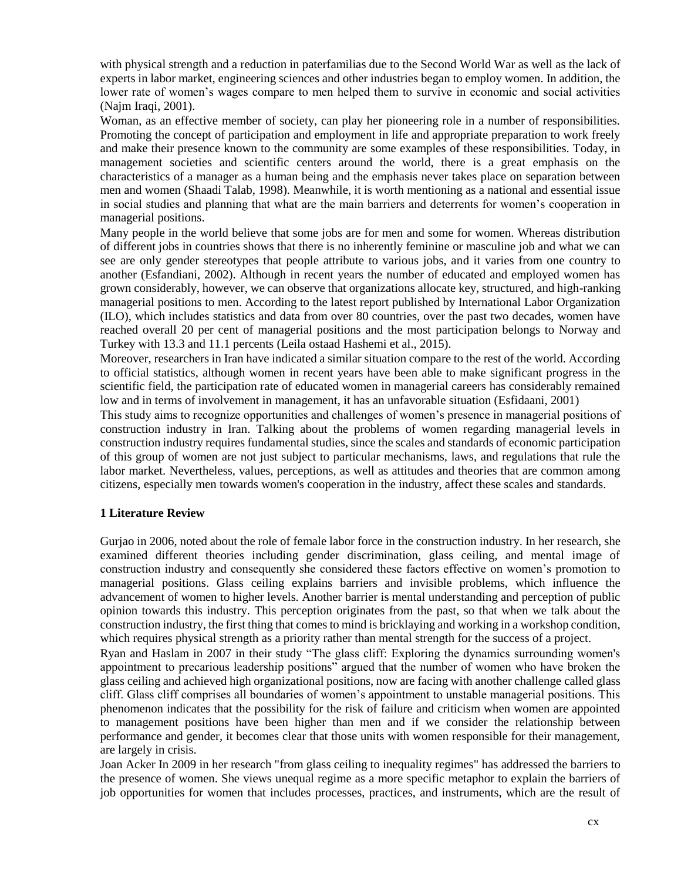with physical strength and a reduction in paterfamilias due to the Second World War as well as the lack of experts in labor market, engineering sciences and other industries began to employ women. In addition, the lower rate of women's wages compare to men helped them to survive in economic and social activities (Najm Iraqi, 2001).

Woman, as an effective member of society, can play her pioneering role in a number of responsibilities. Promoting the concept of participation and employment in life and appropriate preparation to work freely and make their presence known to the community are some examples of these responsibilities. Today, in management societies and scientific centers around the world, there is a great emphasis on the characteristics of a manager as a human being and the emphasis never takes place on separation between men and women (Shaadi Talab, 1998). Meanwhile, it is worth mentioning as a national and essential issue in social studies and planning that what are the main barriers and deterrents for women's cooperation in managerial positions.

Many people in the world believe that some jobs are for men and some for women. Whereas distribution of different jobs in countries shows that there is no inherently feminine or masculine job and what we can see are only gender stereotypes that people attribute to various jobs, and it varies from one country to another (Esfandiani, 2002). Although in recent years the number of educated and employed women has grown considerably, however, we can observe that organizations allocate key, structured, and high-ranking managerial positions to men. According to the latest report published by International Labor Organization (ILO), which includes statistics and data from over 80 countries, over the past two decades, women have reached overall 20 per cent of managerial positions and the most participation belongs to Norway and Turkey with 13.3 and 11.1 percents (Leila ostaad Hashemi et al., 2015).

Moreover, researchers in Iran have indicated a similar situation compare to the rest of the world. According to official statistics, although women in recent years have been able to make significant progress in the scientific field, the participation rate of educated women in managerial careers has considerably remained low and in terms of involvement in management, it has an unfavorable situation (Esfidaani, 2001)

This study aims to recognize opportunities and challenges of women's presence in managerial positions of construction industry in Iran. Talking about the problems of women regarding managerial levels in construction industry requires fundamental studies, since the scales and standards of economic participation of this group of women are not just subject to particular mechanisms, laws, and regulations that rule the labor market. Nevertheless, values, perceptions, as well as attitudes and theories that are common among citizens, especially men towards women's cooperation in the industry, affect these scales and standards.

## **1 Literature Review**

Gurjao in 2006, noted about the role of female labor force in the construction industry. In her research, she examined different theories including gender discrimination, glass ceiling, and mental image of construction industry and consequently she considered these factors effective on women's promotion to managerial positions. Glass ceiling explains barriers and invisible problems, which influence the advancement of women to higher levels. Another barrier is mental understanding and perception of public opinion towards this industry. This perception originates from the past, so that when we talk about the construction industry, the first thing that comes to mind is bricklaying and working in a workshop condition, which requires physical strength as a priority rather than mental strength for the success of a project.

Ryan and Haslam in 2007 in their study "The glass cliff: Exploring the dynamics surrounding women's appointment to precarious leadership positions" argued that the number of women who have broken the glass ceiling and achieved high organizational positions, now are facing with another challenge called glass cliff. Glass cliff comprises all boundaries of women's appointment to unstable managerial positions. This phenomenon indicates that the possibility for the risk of failure and criticism when women are appointed to management positions have been higher than men and if we consider the relationship between performance and gender, it becomes clear that those units with women responsible for their management, are largely in crisis.

Joan Acker In 2009 in her research "from glass ceiling to inequality regimes" has addressed the barriers to the presence of women. She views unequal regime as a more specific metaphor to explain the barriers of job opportunities for women that includes processes, practices, and instruments, which are the result of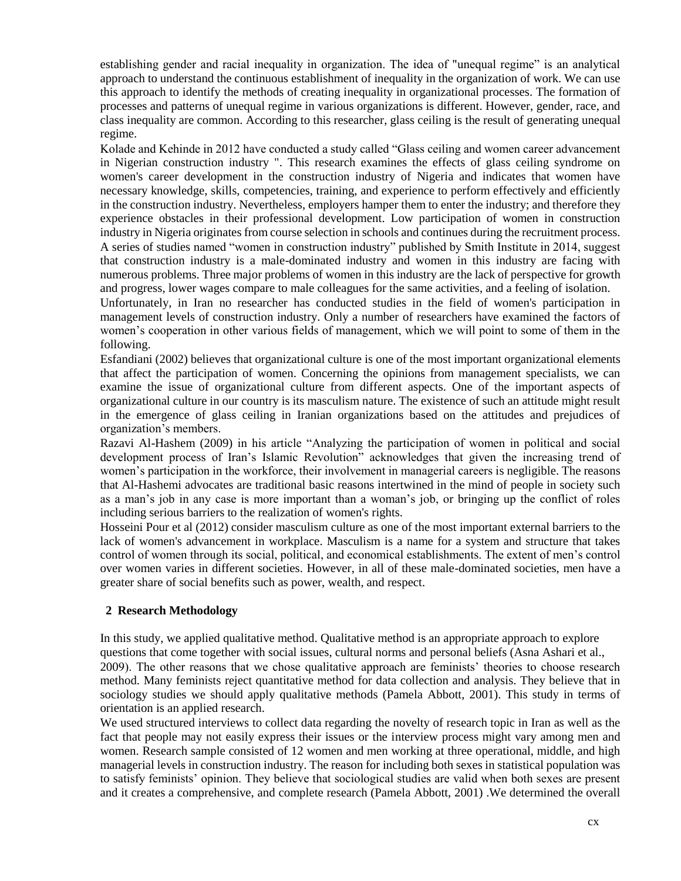establishing gender and racial inequality in organization. The idea of "unequal regime" is an analytical approach to understand the continuous establishment of inequality in the organization of work. We can use this approach to identify the methods of creating inequality in organizational processes. The formation of processes and patterns of unequal regime in various organizations is different. However, gender, race, and class inequality are common. According to this researcher, glass ceiling is the result of generating unequal regime.

Kolade and Kehinde in 2012 have conducted a study called "Glass ceiling and women career advancement in Nigerian construction industry ". This research examines the effects of glass ceiling syndrome on women's career development in the construction industry of Nigeria and indicates that women have necessary knowledge, skills, competencies, training, and experience to perform effectively and efficiently in the construction industry. Nevertheless, employers hamper them to enter the industry; and therefore they experience obstacles in their professional development. Low participation of women in construction industry in Nigeria originates from course selection in schools and continues during the recruitment process. A series of studies named "women in construction industry" published by Smith Institute in 2014, suggest that construction industry is a male-dominated industry and women in this industry are facing with numerous problems. Three major problems of women in this industry are the lack of perspective for growth and progress, lower wages compare to male colleagues for the same activities, and a feeling of isolation.

Unfortunately, in Iran no researcher has conducted studies in the field of women's participation in management levels of construction industry. Only a number of researchers have examined the factors of women's cooperation in other various fields of management, which we will point to some of them in the following.

Esfandiani (2002) believes that organizational culture is one of the most important organizational elements that affect the participation of women. Concerning the opinions from management specialists, we can examine the issue of organizational culture from different aspects. One of the important aspects of organizational culture in our country is its masculism nature. The existence of such an attitude might result in the emergence of glass ceiling in Iranian organizations based on the attitudes and prejudices of organization's members.

Razavi Al-Hashem (2009) in his article "Analyzing the participation of women in political and social development process of Iran's Islamic Revolution" acknowledges that given the increasing trend of women's participation in the workforce, their involvement in managerial careers is negligible. The reasons that Al-Hashemi advocates are traditional basic reasons intertwined in the mind of people in society such as a man's job in any case is more important than a woman's job, or bringing up the conflict of roles including serious barriers to the realization of women's rights.

Hosseini Pour et al (2012) consider masculism culture as one of the most important external barriers to the lack of women's advancement in workplace. Masculism is a name for a system and structure that takes control of women through its social, political, and economical establishments. The extent of men's control over women varies in different societies. However, in all of these male-dominated societies, men have a greater share of social benefits such as power, wealth, and respect.

#### **2 Research Methodology**

In this study, we applied qualitative method. Qualitative method is an appropriate approach to explore questions that come together with social issues, cultural norms and personal beliefs (Asna Ashari et al., 2009). The other reasons that we chose qualitative approach are feminists' theories to choose research method. Many feminists reject quantitative method for data collection and analysis. They believe that in sociology studies we should apply qualitative methods (Pamela Abbott, 2001). This study in terms of orientation is an applied research.

We used structured interviews to collect data regarding the novelty of research topic in Iran as well as the fact that people may not easily express their issues or the interview process might vary among men and women. Research sample consisted of 12 women and men working at three operational, middle, and high managerial levels in construction industry. The reason for including both sexes in statistical population was to satisfy feminists' opinion. They believe that sociological studies are valid when both sexes are present and it creates a comprehensive, and complete research (Pamela Abbott, 2001) .We determined the overall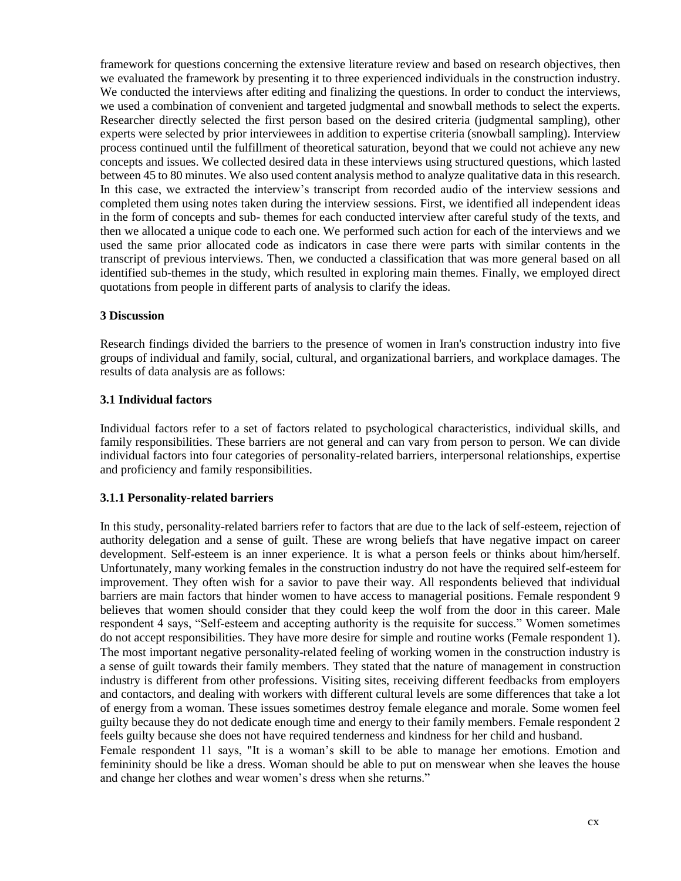framework for questions concerning the extensive literature review and based on research objectives, then we evaluated the framework by presenting it to three experienced individuals in the construction industry. We conducted the interviews after editing and finalizing the questions. In order to conduct the interviews, we used a combination of convenient and targeted judgmental and snowball methods to select the experts. Researcher directly selected the first person based on the desired criteria (judgmental sampling), other experts were selected by prior interviewees in addition to expertise criteria (snowball sampling). Interview process continued until the fulfillment of theoretical saturation, beyond that we could not achieve any new concepts and issues. We collected desired data in these interviews using structured questions, which lasted between 45 to 80 minutes. We also used content analysis method to analyze qualitative data in this research. In this case, we extracted the interview's transcript from recorded audio of the interview sessions and completed them using notes taken during the interview sessions. First, we identified all independent ideas in the form of concepts and sub- themes for each conducted interview after careful study of the texts, and then we allocated a unique code to each one. We performed such action for each of the interviews and we used the same prior allocated code as indicators in case there were parts with similar contents in the transcript of previous interviews. Then, we conducted a classification that was more general based on all identified sub-themes in the study, which resulted in exploring main themes. Finally, we employed direct quotations from people in different parts of analysis to clarify the ideas.

#### **3 Discussion**

Research findings divided the barriers to the presence of women in Iran's construction industry into five groups of individual and family, social, cultural, and organizational barriers, and workplace damages. The results of data analysis are as follows:

#### **3.1 Individual factors**

Individual factors refer to a set of factors related to psychological characteristics, individual skills, and family responsibilities. These barriers are not general and can vary from person to person. We can divide individual factors into four categories of personality-related barriers, interpersonal relationships, expertise and proficiency and family responsibilities.

#### **3.1.1 Personality-related barriers**

In this study, personality-related barriers refer to factors that are due to the lack of self-esteem, rejection of authority delegation and a sense of guilt. These are wrong beliefs that have negative impact on career development. Self-esteem is an inner experience. It is what a person feels or thinks about him/herself. Unfortunately, many working females in the construction industry do not have the required self-esteem for improvement. They often wish for a savior to pave their way. All respondents believed that individual barriers are main factors that hinder women to have access to managerial positions. Female respondent 9 believes that women should consider that they could keep the wolf from the door in this career. Male respondent 4 says, "Self-esteem and accepting authority is the requisite for success." Women sometimes do not accept responsibilities. They have more desire for simple and routine works (Female respondent 1). The most important negative personality-related feeling of working women in the construction industry is a sense of guilt towards their family members. They stated that the nature of management in construction industry is different from other professions. Visiting sites, receiving different feedbacks from employers and contactors, and dealing with workers with different cultural levels are some differences that take a lot of energy from a woman. These issues sometimes destroy female elegance and morale. Some women feel guilty because they do not dedicate enough time and energy to their family members. Female respondent 2 feels guilty because she does not have required tenderness and kindness for her child and husband.

Female respondent 11 says, "It is a woman's skill to be able to manage her emotions. Emotion and femininity should be like a dress. Woman should be able to put on menswear when she leaves the house and change her clothes and wear women's dress when she returns."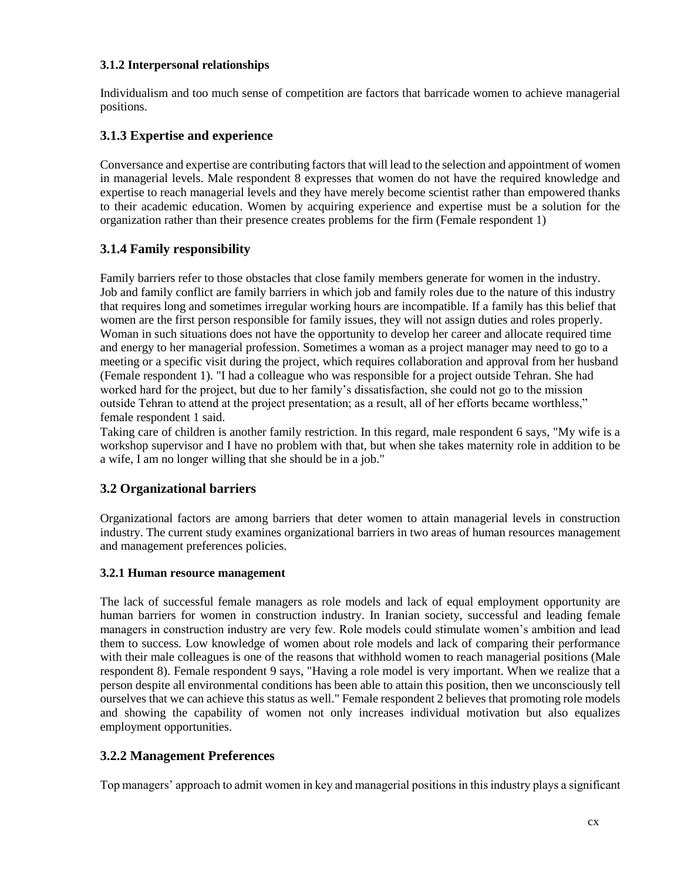### **3.1.2 Interpersonal relationships**

Individualism and too much sense of competition are factors that barricade women to achieve managerial positions.

## **3.1.3 Expertise and experience**

Conversance and expertise are contributing factors that will lead to the selection and appointment of women in managerial levels. Male respondent 8 expresses that women do not have the required knowledge and expertise to reach managerial levels and they have merely become scientist rather than empowered thanks to their academic education. Women by acquiring experience and expertise must be a solution for the organization rather than their presence creates problems for the firm (Female respondent 1)

# **3.1.4 Family responsibility**

Family barriers refer to those obstacles that close family members generate for women in the industry. Job and family conflict are family barriers in which job and family roles due to the nature of this industry that requires long and sometimes irregular working hours are incompatible. If a family has this belief that women are the first person responsible for family issues, they will not assign duties and roles properly. Woman in such situations does not have the opportunity to develop her career and allocate required time and energy to her managerial profession. Sometimes a woman as a project manager may need to go to a meeting or a specific visit during the project, which requires collaboration and approval from her husband (Female respondent 1). "I had a colleague who was responsible for a project outside Tehran. She had worked hard for the project, but due to her family's dissatisfaction, she could not go to the mission outside Tehran to attend at the project presentation; as a result, all of her efforts became worthless," female respondent 1 said.

Taking care of children is another family restriction. In this regard, male respondent 6 says, "My wife is a workshop supervisor and I have no problem with that, but when she takes maternity role in addition to be a wife, I am no longer willing that she should be in a job."

# **3.2 Organizational barriers**

Organizational factors are among barriers that deter women to attain managerial levels in construction industry. The current study examines organizational barriers in two areas of human resources management and management preferences policies.

#### **3.2.1 Human resource management**

The lack of successful female managers as role models and lack of equal employment opportunity are human barriers for women in construction industry. In Iranian society, successful and leading female managers in construction industry are very few. Role models could stimulate women's ambition and lead them to success. Low knowledge of women about role models and lack of comparing their performance with their male colleagues is one of the reasons that withhold women to reach managerial positions (Male respondent 8). Female respondent 9 says, "Having a role model is very important. When we realize that a person despite all environmental conditions has been able to attain this position, then we unconsciously tell ourselves that we can achieve this status as well." Female respondent 2 believes that promoting role models and showing the capability of women not only increases individual motivation but also equalizes employment opportunities.

## **3.2.2 Management Preferences**

Top managers' approach to admit women in key and managerial positions in this industry plays a significant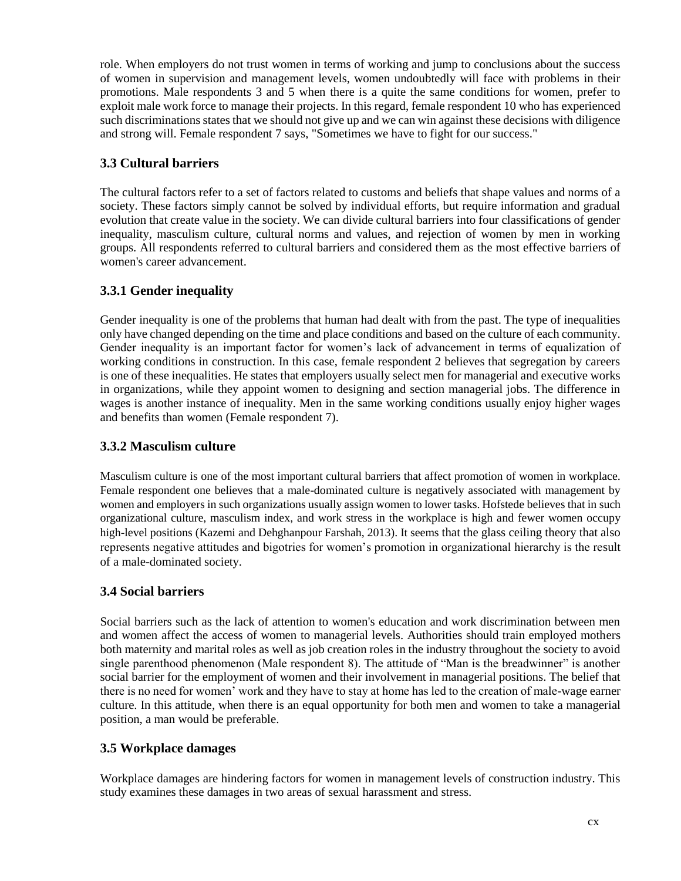role. When employers do not trust women in terms of working and jump to conclusions about the success of women in supervision and management levels, women undoubtedly will face with problems in their promotions. Male respondents 3 and 5 when there is a quite the same conditions for women, prefer to exploit male work force to manage their projects. In this regard, female respondent 10 who has experienced such discriminations states that we should not give up and we can win against these decisions with diligence and strong will. Female respondent 7 says, "Sometimes we have to fight for our success."

# **3.3 Cultural barriers**

The cultural factors refer to a set of factors related to customs and beliefs that shape values and norms of a society. These factors simply cannot be solved by individual efforts, but require information and gradual evolution that create value in the society. We can divide cultural barriers into four classifications of gender inequality, masculism culture, cultural norms and values, and rejection of women by men in working groups. All respondents referred to cultural barriers and considered them as the most effective barriers of women's career advancement.

# **3.3.1 Gender inequality**

Gender inequality is one of the problems that human had dealt with from the past. The type of inequalities only have changed depending on the time and place conditions and based on the culture of each community. Gender inequality is an important factor for women's lack of advancement in terms of equalization of working conditions in construction. In this case, female respondent 2 believes that segregation by careers is one of these inequalities. He states that employers usually select men for managerial and executive works in organizations, while they appoint women to designing and section managerial jobs. The difference in wages is another instance of inequality. Men in the same working conditions usually enjoy higher wages and benefits than women (Female respondent 7).

# **3.3.2 Masculism culture**

Masculism culture is one of the most important cultural barriers that affect promotion of women in workplace. Female respondent one believes that a male-dominated culture is negatively associated with management by women and employers in such organizations usually assign women to lower tasks. Hofstede believes that in such organizational culture, masculism index, and work stress in the workplace is high and fewer women occupy high-level positions (Kazemi and Dehghanpour Farshah, 2013). It seems that the glass ceiling theory that also represents negative attitudes and bigotries for women's promotion in organizational hierarchy is the result of a male-dominated society.

# **3.4 Social barriers**

Social barriers such as the lack of attention to women's education and work discrimination between men and women affect the access of women to managerial levels. Authorities should train employed mothers both maternity and marital roles as well as job creation roles in the industry throughout the society to avoid single parenthood phenomenon (Male respondent 8). The attitude of "Man is the breadwinner" is another social barrier for the employment of women and their involvement in managerial positions. The belief that there is no need for women' work and they have to stay at home has led to the creation of male-wage earner culture. In this attitude, when there is an equal opportunity for both men and women to take a managerial position, a man would be preferable.

# **3.5 Workplace damages**

Workplace damages are hindering factors for women in management levels of construction industry. This study examines these damages in two areas of sexual harassment and stress.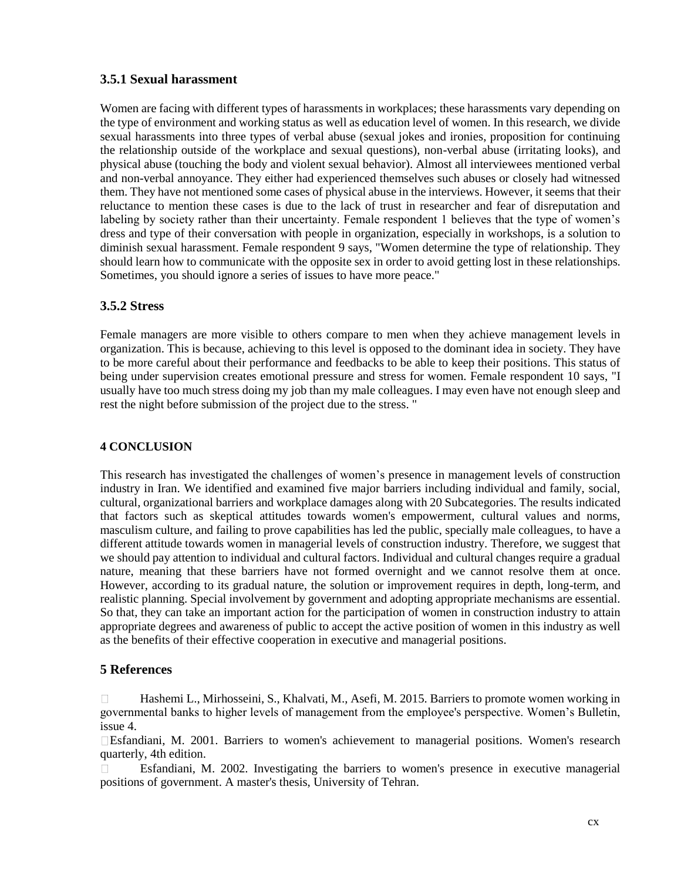## **3.5.1 Sexual harassment**

Women are facing with different types of harassments in workplaces; these harassments vary depending on the type of environment and working status as well as education level of women. In this research, we divide sexual harassments into three types of verbal abuse (sexual jokes and ironies, proposition for continuing the relationship outside of the workplace and sexual questions), non-verbal abuse (irritating looks), and physical abuse (touching the body and violent sexual behavior). Almost all interviewees mentioned verbal and non-verbal annoyance. They either had experienced themselves such abuses or closely had witnessed them. They have not mentioned some cases of physical abuse in the interviews. However, it seems that their reluctance to mention these cases is due to the lack of trust in researcher and fear of disreputation and labeling by society rather than their uncertainty. Female respondent 1 believes that the type of women's dress and type of their conversation with people in organization, especially in workshops, is a solution to diminish sexual harassment. Female respondent 9 says, "Women determine the type of relationship. They should learn how to communicate with the opposite sex in order to avoid getting lost in these relationships. Sometimes, you should ignore a series of issues to have more peace."

## **3.5.2 Stress**

Female managers are more visible to others compare to men when they achieve management levels in organization. This is because, achieving to this level is opposed to the dominant idea in society. They have to be more careful about their performance and feedbacks to be able to keep their positions. This status of being under supervision creates emotional pressure and stress for women. Female respondent 10 says, "I usually have too much stress doing my job than my male colleagues. I may even have not enough sleep and rest the night before submission of the project due to the stress. "

#### **4 CONCLUSION**

This research has investigated the challenges of women's presence in management levels of construction industry in Iran. We identified and examined five major barriers including individual and family, social, cultural, organizational barriers and workplace damages along with 20 Subcategories. The results indicated that factors such as skeptical attitudes towards women's empowerment, cultural values and norms, masculism culture, and failing to prove capabilities has led the public, specially male colleagues, to have a different attitude towards women in managerial levels of construction industry. Therefore, we suggest that we should pay attention to individual and cultural factors. Individual and cultural changes require a gradual nature, meaning that these barriers have not formed overnight and we cannot resolve them at once. However, according to its gradual nature, the solution or improvement requires in depth, long-term, and realistic planning. Special involvement by government and adopting appropriate mechanisms are essential. So that, they can take an important action for the participation of women in construction industry to attain appropriate degrees and awareness of public to accept the active position of women in this industry as well as the benefits of their effective cooperation in executive and managerial positions.

## **5 References**

Hashemi L., Mirhosseini, S., Khalvati, M., Asefi, M. 2015. Barriers to promote women working in  $\Box$ governmental banks to higher levels of management from the employee's perspective. Women's Bulletin, issue 4.

Esfandiani, M. 2001. Barriers to women's achievement to managerial positions. Women's research quarterly, 4th edition.

 $\Box$ Esfandiani, M. 2002. Investigating the barriers to women's presence in executive managerial positions of government. A master's thesis, University of Tehran.